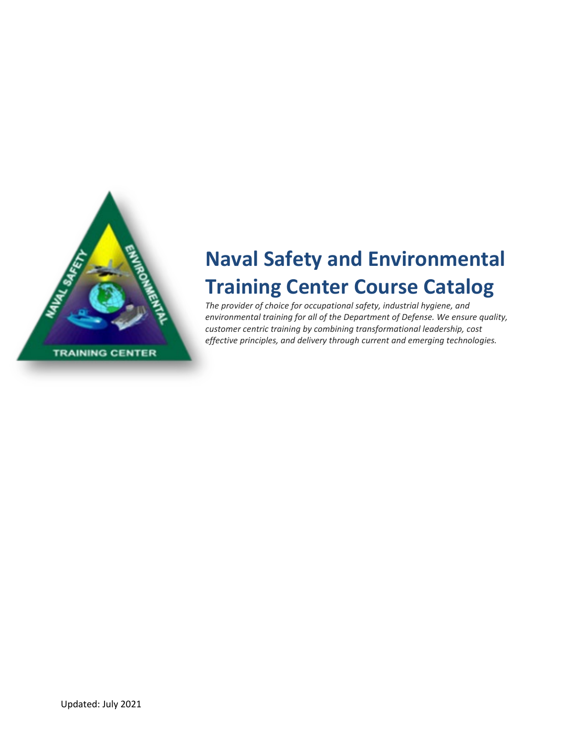

# **Naval Safety and Environmental Training Center Course Catalog**

*The provider of choice for occupational safety, industrial hygiene, and environmental training for all of the Department of Defense. We ensure quality, customer centric training by combining transformational leadership, cost effective principles, and delivery through current and emerging technologies.*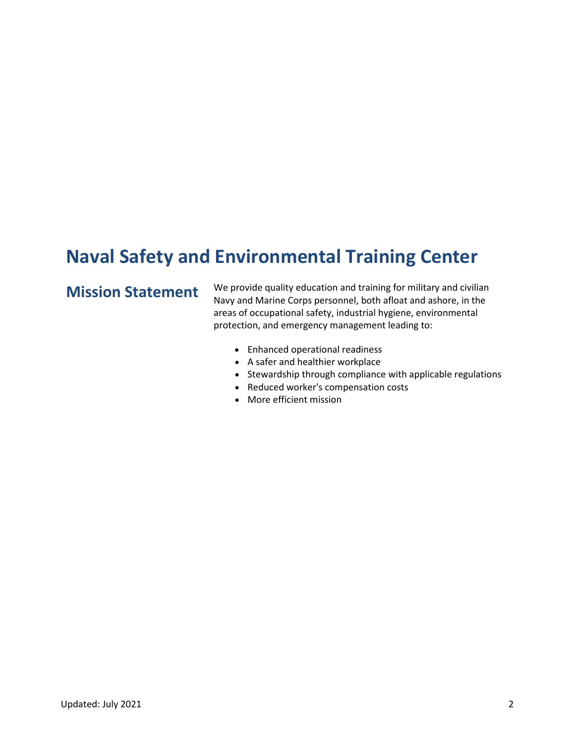# **Naval Safety and Environmental Training Center**

**Mission Statement** We provide quality education and training for military and civilian Navy and Marine Corps personnel, both afloat and ashore, in the areas of occupational safety, industrial hygiene, environmental protection, and emergency management leading to:

- Enhanced operational readiness
- A safer and healthier workplace
- Stewardship through compliance with applicable regulations
- Reduced worker's compensation costs
- More efficient mission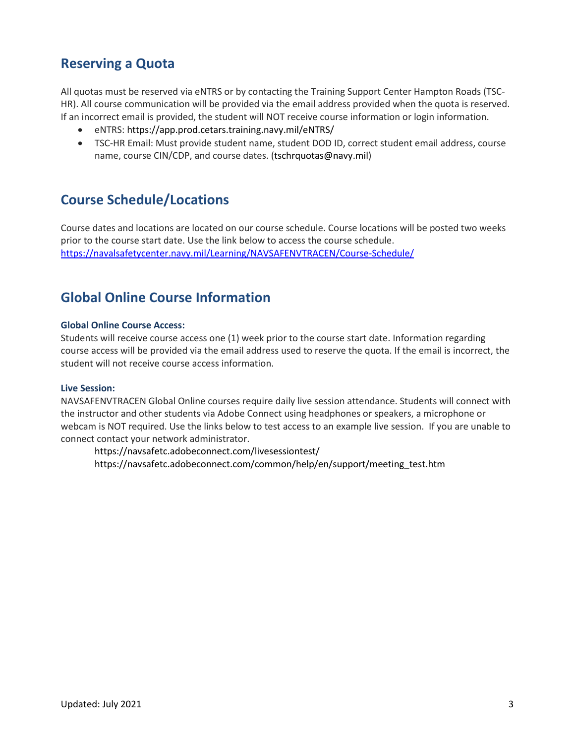### **Reserving a Quota**

All quotas must be reserved via eNTRS or by contacting the Training Support Center Hampton Roads (TSC-HR). All course communication will be provided via the email address provided when the quota is reserved. If an incorrect email is provided, the student will NOT receive course information or login information.

- eNTRS: https://app.prod.cetars.training.navy.mil/eNTRS/
- TSC-HR Email: Must provide student name, student DOD ID, correct student email address, course name, course CIN/CDP, and course dates. (tschrquotas@navy.mil)

#### **Course Schedule/Locations**

Course dates and locations are located on our course schedule. Course locations will be posted two weeks prior to the course start date. Use the link below to access the course schedule. <https://navalsafetycenter.navy.mil/Learning/NAVSAFENVTRACEN/Course-Schedule/>

#### **Global Online Course Information**

#### **Global Online Course Access:**

Students will receive course access one (1) week prior to the course start date. Information regarding course access will be provided via the email address used to reserve the quota. If the email is incorrect, the student will not receive course access information.

#### **Live Session:**

NAVSAFENVTRACEN Global Online courses require daily live session attendance. Students will connect with the instructor and other students via Adobe Connect using headphones or speakers, a microphone or webcam is NOT required. Use the links below to test access to an example live session. If you are unable to connect contact your network administrator.

https://navsafetc.adobeconnect.com/livesessiontest/ https://navsafetc.adobeconnect.com/common/help/en/support/meeting\_test.htm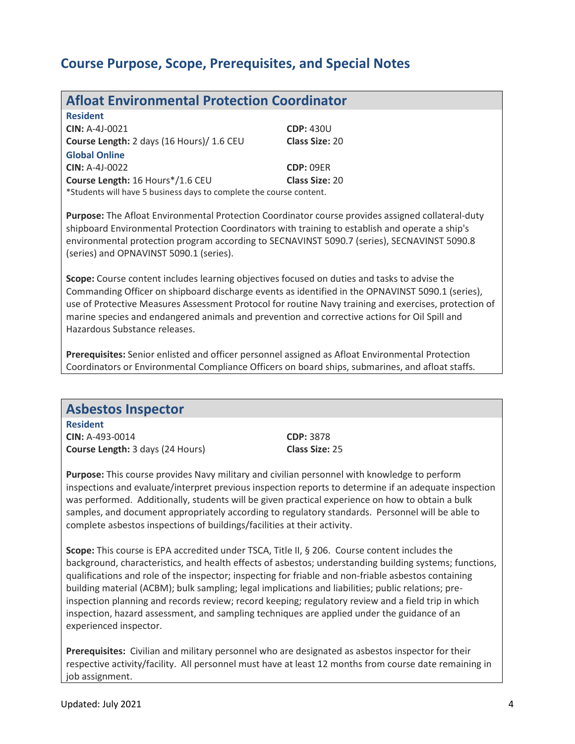### **Course Purpose, Scope, Prerequisites, and Special Notes**

| <b>Afloat Environmental Protection Coordinator</b>                  |                  |  |
|---------------------------------------------------------------------|------------------|--|
| <b>Resident</b>                                                     |                  |  |
| <b>CIN: A-4J-0021</b>                                               | <b>CDP: 430U</b> |  |
| <b>Course Length:</b> 2 days (16 Hours)/ 1.6 CEU                    | Class Size: 20   |  |
| <b>Global Online</b>                                                |                  |  |
| <b>CIN: A-4J-0022</b>                                               | <b>CDP: 09ER</b> |  |
| Course Length: 16 Hours*/1.6 CEU                                    | Class Size: 20   |  |
| *Students will have 5 business days to complete the course content. |                  |  |

**Purpose:** The Afloat Environmental Protection Coordinator course provides assigned collateral-duty shipboard Environmental Protection Coordinators with training to establish and operate a ship's environmental protection program according to SECNAVINST 5090.7 (series), SECNAVINST 5090.8 (series) and OPNAVINST 5090.1 (series).

**Scope:** Course content includes learning objectives focused on duties and tasks to advise the Commanding Officer on shipboard discharge events as identified in the OPNAVINST 5090.1 (series), use of Protective Measures Assessment Protocol for routine Navy training and exercises, protection of marine species and endangered animals and prevention and corrective actions for Oil Spill and Hazardous Substance releases.

**Prerequisites:** Senior enlisted and officer personnel assigned as Afloat Environmental Protection Coordinators or Environmental Compliance Officers on board ships, submarines, and afloat staffs.

#### **Asbestos Inspector**

**Resident CIN:** A-493-0014 **CDP:** 3878 **Course Length:** 3 days (24 Hours) **Class Size:** 25

**Purpose:** This course provides Navy military and civilian personnel with knowledge to perform inspections and evaluate/interpret previous inspection reports to determine if an adequate inspection was performed. Additionally, students will be given practical experience on how to obtain a bulk samples, and document appropriately according to regulatory standards. Personnel will be able to complete asbestos inspections of buildings/facilities at their activity.

**Scope:** This course is EPA accredited under TSCA, Title II, § 206. Course content includes the background, characteristics, and health effects of asbestos; understanding building systems; functions, qualifications and role of the inspector; inspecting for friable and non-friable asbestos containing building material (ACBM); bulk sampling; legal implications and liabilities; public relations; preinspection planning and records review; record keeping; regulatory review and a field trip in which inspection, hazard assessment, and sampling techniques are applied under the guidance of an experienced inspector.

**Prerequisites:** Civilian and military personnel who are designated as asbestos inspector for their respective activity/facility. All personnel must have at least 12 months from course date remaining in job assignment.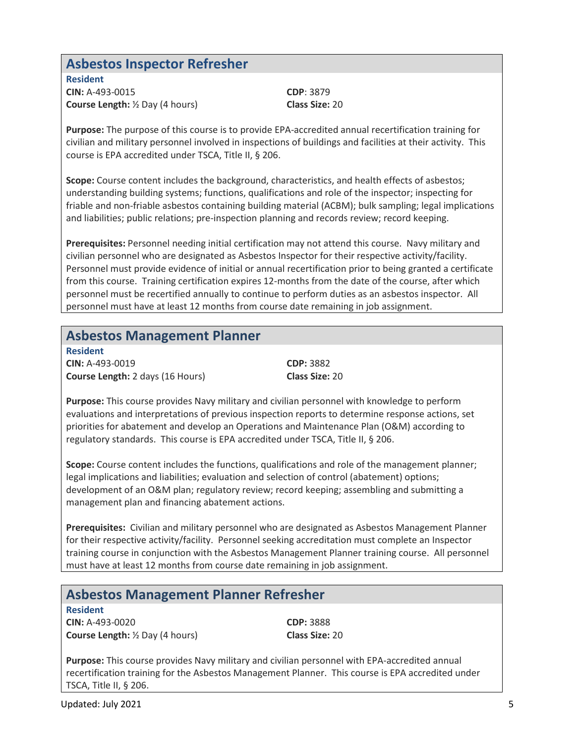#### **Asbestos Inspector Refresher**

**Resident CIN:** A-493-0015 **CDP**: 3879 **Course Length:** ½ Day (4 hours) **Class Size:** 20

**Purpose:** The purpose of this course is to provide EPA-accredited annual recertification training for civilian and military personnel involved in inspections of buildings and facilities at their activity. This course is EPA accredited under TSCA, Title II, § 206.

**Scope:** Course content includes the background, characteristics, and health effects of asbestos; understanding building systems; functions, qualifications and role of the inspector; inspecting for friable and non-friable asbestos containing building material (ACBM); bulk sampling; legal implications and liabilities; public relations; pre-inspection planning and records review; record keeping.

**Prerequisites:** Personnel needing initial certification may not attend this course. Navy military and civilian personnel who are designated as Asbestos Inspector for their respective activity/facility. Personnel must provide evidence of initial or annual recertification prior to being granted a certificate from this course. Training certification expires 12-months from the date of the course, after which personnel must be recertified annually to continue to perform duties as an asbestos inspector. All personnel must have at least 12 months from course date remaining in job assignment.

#### **Asbestos Management Planner**

**Resident CIN:** A-493-0019 **CDP:** 3882 **Course Length:** 2 days (16 Hours) **Class Size:** 20

**Purpose:** This course provides Navy military and civilian personnel with knowledge to perform evaluations and interpretations of previous inspection reports to determine response actions, set priorities for abatement and develop an Operations and Maintenance Plan (O&M) according to regulatory standards. This course is EPA accredited under TSCA, Title II, § 206.

**Scope:** Course content includes the functions, qualifications and role of the management planner; legal implications and liabilities; evaluation and selection of control (abatement) options; development of an O&M plan; regulatory review; record keeping; assembling and submitting a management plan and financing abatement actions.

**Prerequisites:** Civilian and military personnel who are designated as Asbestos Management Planner for their respective activity/facility. Personnel seeking accreditation must complete an Inspector training course in conjunction with the Asbestos Management Planner training course. All personnel must have at least 12 months from course date remaining in job assignment.

|  | <b>Asbestos Management Planner Refresher</b> |  |  |
|--|----------------------------------------------|--|--|
|--|----------------------------------------------|--|--|

**Resident CIN:** A-493-0020 **CDP:** 3888 **Course Length:** ½ Day (4 hours) **Class Size:** 20

**Purpose:** This course provides Navy military and civilian personnel with EPA-accredited annual recertification training for the Asbestos Management Planner. This course is EPA accredited under TSCA, Title II, § 206.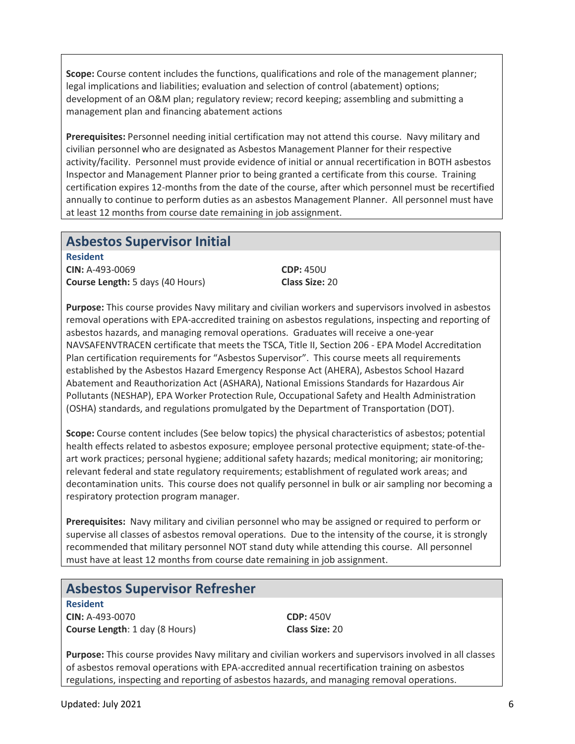**Scope:** Course content includes the functions, qualifications and role of the management planner; legal implications and liabilities; evaluation and selection of control (abatement) options; development of an O&M plan; regulatory review; record keeping; assembling and submitting a management plan and financing abatement actions

**Prerequisites:** Personnel needing initial certification may not attend this course. Navy military and civilian personnel who are designated as Asbestos Management Planner for their respective activity/facility. Personnel must provide evidence of initial or annual recertification in BOTH asbestos Inspector and Management Planner prior to being granted a certificate from this course. Training certification expires 12-months from the date of the course, after which personnel must be recertified annually to continue to perform duties as an asbestos Management Planner. All personnel must have at least 12 months from course date remaining in job assignment.

#### **Asbestos Supervisor Initial**

**Resident CIN:** A-493-0069 **CDP:** 450U **Course Length:** 5 days (40 Hours) **Class Size:** 20

**Purpose:** This course provides Navy military and civilian workers and supervisors involved in asbestos removal operations with EPA-accredited training on asbestos regulations, inspecting and reporting of asbestos hazards, and managing removal operations. Graduates will receive a one-year NAVSAFENVTRACEN certificate that meets the TSCA, Title II, Section 206 - EPA Model Accreditation Plan certification requirements for "Asbestos Supervisor". This course meets all requirements established by the Asbestos Hazard Emergency Response Act (AHERA), Asbestos School Hazard Abatement and Reauthorization Act (ASHARA), National Emissions Standards for Hazardous Air Pollutants (NESHAP), EPA Worker Protection Rule, Occupational Safety and Health Administration (OSHA) standards, and regulations promulgated by the Department of Transportation (DOT).

**Scope:** Course content includes (See below topics) the physical characteristics of asbestos; potential health effects related to asbestos exposure; employee personal protective equipment; state-of-theart work practices; personal hygiene; additional safety hazards; medical monitoring; air monitoring; relevant federal and state regulatory requirements; establishment of regulated work areas; and decontamination units. This course does not qualify personnel in bulk or air sampling nor becoming a respiratory protection program manager.

**Prerequisites:** Navy military and civilian personnel who may be assigned or required to perform or supervise all classes of asbestos removal operations. Due to the intensity of the course, it is strongly recommended that military personnel NOT stand duty while attending this course. All personnel must have at least 12 months from course date remaining in job assignment.

#### **Asbestos Supervisor Refresher**

**Resident CIN:** A-493-0070 **CDP:** 450V **Course Length**: 1 day (8 Hours) **Class Size:** 20

**Purpose:** This course provides Navy military and civilian workers and supervisors involved in all classes of asbestos removal operations with EPA-accredited annual recertification training on asbestos regulations, inspecting and reporting of asbestos hazards, and managing removal operations.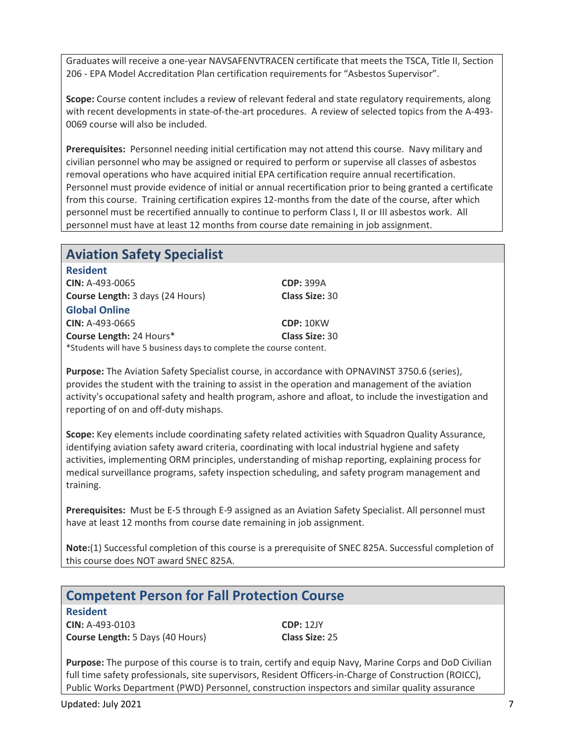Graduates will receive a one-year NAVSAFENVTRACEN certificate that meets the TSCA, Title II, Section 206 - EPA Model Accreditation Plan certification requirements for "Asbestos Supervisor".

**Scope:** Course content includes a review of relevant federal and state regulatory requirements, along with recent developments in state-of-the-art procedures. A review of selected topics from the A-493- 0069 course will also be included.

**Prerequisites:** Personnel needing initial certification may not attend this course. Navy military and civilian personnel who may be assigned or required to perform or supervise all classes of asbestos removal operations who have acquired initial EPA certification require annual recertification. Personnel must provide evidence of initial or annual recertification prior to being granted a certificate from this course. Training certification expires 12-months from the date of the course, after which personnel must be recertified annually to continue to perform Class I, II or III asbestos work. All personnel must have at least 12 months from course date remaining in job assignment.

|  |  | <b>Aviation Safety Specialist</b> |
|--|--|-----------------------------------|
|--|--|-----------------------------------|

| <b>Resident</b>                                                     |                       |
|---------------------------------------------------------------------|-----------------------|
| <b>CIN: A-493-0065</b>                                              | <b>CDP: 399A</b>      |
| Course Length: 3 days (24 Hours)                                    | <b>Class Size: 30</b> |
| <b>Global Online</b>                                                |                       |
| $CIN: A-493-0665$                                                   | <b>CDP: 10KW</b>      |
| Course Length: 24 Hours*                                            | <b>Class Size: 30</b> |
| *Students will have 5 business days to complete the course content. |                       |

**Purpose:** The Aviation Safety Specialist course, in accordance with OPNAVINST 3750.6 (series), provides the student with the training to assist in the operation and management of the aviation activity's occupational safety and health program, ashore and afloat, to include the investigation and reporting of on and off-duty mishaps.

**Scope:** Key elements include coordinating safety related activities with Squadron Quality Assurance, identifying aviation safety award criteria, coordinating with local industrial hygiene and safety activities, implementing ORM principles, understanding of mishap reporting, explaining process for medical surveillance programs, safety inspection scheduling, and safety program management and training.

**Prerequisites:** Must be E-5 through E-9 assigned as an Aviation Safety Specialist. All personnel must have at least 12 months from course date remaining in job assignment.

**Note:**(1) Successful completion of this course is a prerequisite of SNEC 825A. Successful completion of this course does NOT award SNEC 825A.

| <b>Competent Person for Fall Protection Course</b> |                  |  |
|----------------------------------------------------|------------------|--|
| <b>Resident</b>                                    |                  |  |
| <b>CIN: A-493-0103</b>                             | <b>CDP: 12JY</b> |  |
| <b>Course Length:</b> 5 Days (40 Hours)            | Class Size: 25   |  |
|                                                    |                  |  |

**Purpose:** The purpose of this course is to train, certify and equip Navy, Marine Corps and DoD Civilian full time safety professionals, site supervisors, Resident Officers-in-Charge of Construction (ROICC), Public Works Department (PWD) Personnel, construction inspectors and similar quality assurance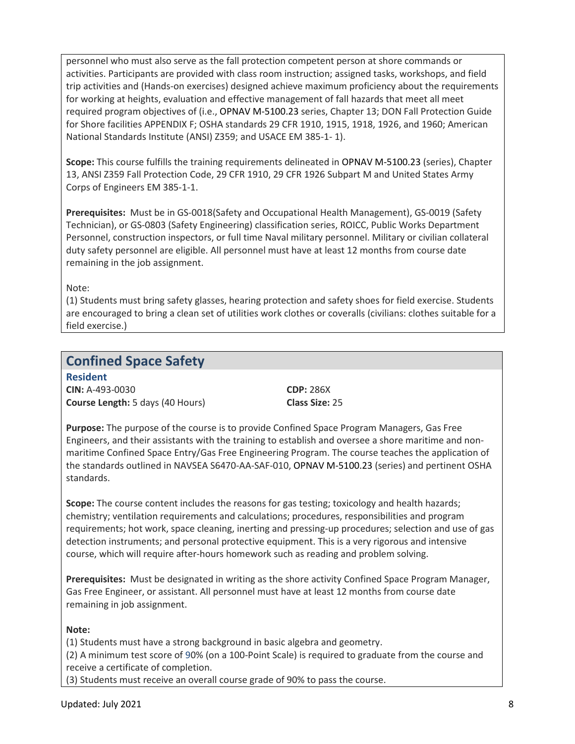personnel who must also serve as the fall protection competent person at shore commands or activities. Participants are provided with class room instruction; assigned tasks, workshops, and field trip activities and (Hands-on exercises) designed achieve maximum proficiency about the requirements for working at heights, evaluation and effective management of fall hazards that meet all meet required program objectives of (i.e., OPNAV M-5100.23 series, Chapter 13; DON Fall Protection Guide for Shore facilities APPENDIX F; OSHA standards 29 CFR 1910, 1915, 1918, 1926, and 1960; American National Standards Institute (ANSI) Z359; and USACE EM 385-1- 1).

**Scope:** This course fulfills the training requirements delineated in OPNAV M-5100.23 (series), Chapter 13, ANSI Z359 Fall Protection Code, 29 CFR 1910, 29 CFR 1926 Subpart M and United States Army Corps of Engineers EM 385-1-1.

**Prerequisites:** Must be in GS-0018(Safety and Occupational Health Management), GS-0019 (Safety Technician), or GS-0803 (Safety Engineering) classification series, ROICC, Public Works Department Personnel, construction inspectors, or full time Naval military personnel. Military or civilian collateral duty safety personnel are eligible. All personnel must have at least 12 months from course date remaining in the job assignment.

Note:

(1) Students must bring safety glasses, hearing protection and safety shoes for field exercise. Students are encouraged to bring a clean set of utilities work clothes or coveralls (civilians: clothes suitable for a field exercise.)

#### **Confined Space Safety**

**Resident CIN:** A-493-0030 **CDP:** 286X **Course Length:** 5 days (40 Hours) **Class Size:** 25

**Purpose:** The purpose of the course is to provide Confined Space Program Managers, Gas Free Engineers, and their assistants with the training to establish and oversee a shore maritime and nonmaritime Confined Space Entry/Gas Free Engineering Program. The course teaches the application of the standards outlined in NAVSEA S6470-AA-SAF-010, OPNAV M-5100.23 (series) and pertinent OSHA standards.

**Scope:** The course content includes the reasons for gas testing; toxicology and health hazards; chemistry; ventilation requirements and calculations; procedures, responsibilities and program requirements; hot work, space cleaning, inerting and pressing-up procedures; selection and use of gas detection instruments; and personal protective equipment. This is a very rigorous and intensive course, which will require after-hours homework such as reading and problem solving.

**Prerequisites:** Must be designated in writing as the shore activity Confined Space Program Manager, Gas Free Engineer, or assistant. All personnel must have at least 12 months from course date remaining in job assignment.

#### **Note:**

(1) Students must have a strong background in basic algebra and geometry.

(2) A minimum test score of 90% (on a 100-Point Scale) is required to graduate from the course and receive a certificate of completion.

(3) Students must receive an overall course grade of 90% to pass the course.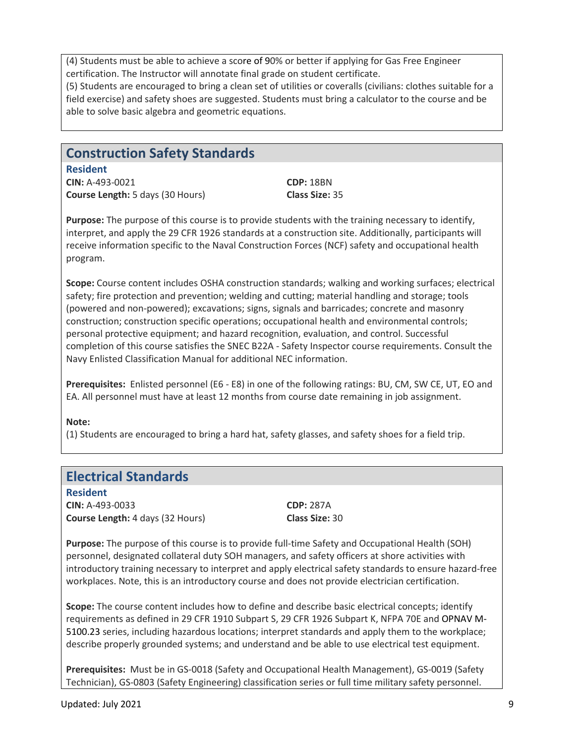(4) Students must be able to achieve a score of 90% or better if applying for Gas Free Engineer certification. The Instructor will annotate final grade on student certificate.

(5) Students are encouraged to bring a clean set of utilities or coveralls (civilians: clothes suitable for a field exercise) and safety shoes are suggested. Students must bring a calculator to the course and be able to solve basic algebra and geometric equations.

#### **Construction Safety Standards**

**Resident CIN:** A-493-0021 **CDP:** 18BN **Course Length:** 5 days (30 Hours) **Class Size:** 35

**Purpose:** The purpose of this course is to provide students with the training necessary to identify, interpret, and apply the 29 CFR 1926 standards at a construction site. Additionally, participants will receive information specific to the Naval Construction Forces (NCF) safety and occupational health program.

**Scope:** Course content includes OSHA construction standards; walking and working surfaces; electrical safety; fire protection and prevention; welding and cutting; material handling and storage; tools (powered and non-powered); excavations; signs, signals and barricades; concrete and masonry construction; construction specific operations; occupational health and environmental controls; personal protective equipment; and hazard recognition, evaluation, and control. Successful completion of this course satisfies the SNEC B22A - Safety Inspector course requirements. Consult the Navy Enlisted Classification Manual for additional NEC information.

**Prerequisites:** Enlisted personnel (E6 - E8) in one of the following ratings: BU, CM, SW CE, UT, EO and EA. All personnel must have at least 12 months from course date remaining in job assignment.

#### **Note:**

(1) Students are encouraged to bring a hard hat, safety glasses, and safety shoes for a field trip.

#### **Electrical Standards**

**Resident CIN:** A-493-0033 **CDP:** 287A **Course Length:** 4 days (32 Hours) **Class Size:** 30

**Purpose:** The purpose of this course is to provide full-time Safety and Occupational Health (SOH) personnel, designated collateral duty SOH managers, and safety officers at shore activities with introductory training necessary to interpret and apply electrical safety standards to ensure hazard-free workplaces. Note, this is an introductory course and does not provide electrician certification.

**Scope:** The course content includes how to define and describe basic electrical concepts; identify requirements as defined in 29 CFR 1910 Subpart S, 29 CFR 1926 Subpart K, NFPA 70E and OPNAV M-5100.23 series, including hazardous locations; interpret standards and apply them to the workplace; describe properly grounded systems; and understand and be able to use electrical test equipment.

**Prerequisites:** Must be in GS-0018 (Safety and Occupational Health Management), GS-0019 (Safety Technician), GS-0803 (Safety Engineering) classification series or full time military safety personnel.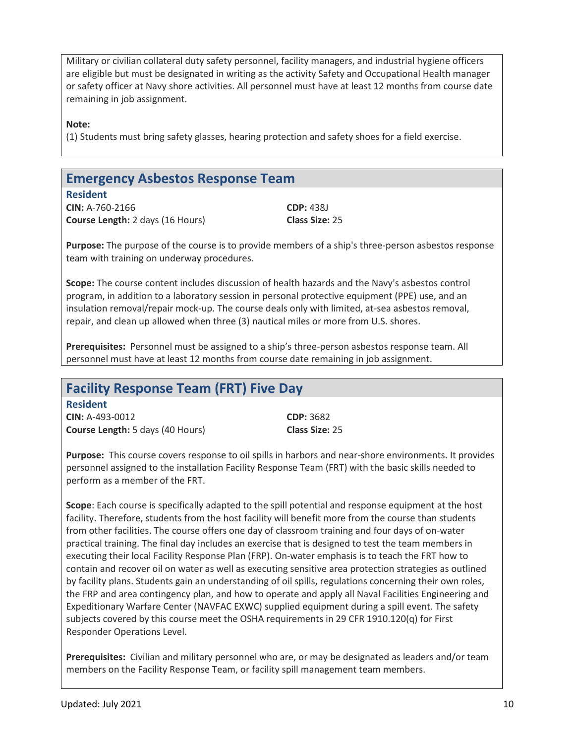Military or civilian collateral duty safety personnel, facility managers, and industrial hygiene officers are eligible but must be designated in writing as the activity Safety and Occupational Health manager or safety officer at Navy shore activities. All personnel must have at least 12 months from course date remaining in job assignment.

**Note:** 

(1) Students must bring safety glasses, hearing protection and safety shoes for a field exercise.

#### **Emergency Asbestos Response Team**

**Resident CIN:** A-760-2166 **CDP:** 438J **Course Length:** 2 days (16 Hours) **Class Size:** 25

**Purpose:** The purpose of the course is to provide members of a ship's three-person asbestos response team with training on underway procedures.

**Scope:** The course content includes discussion of health hazards and the Navy's asbestos control program, in addition to a laboratory session in personal protective equipment (PPE) use, and an insulation removal/repair mock-up. The course deals only with limited, at-sea asbestos removal, repair, and clean up allowed when three (3) nautical miles or more from U.S. shores.

**Prerequisites:** Personnel must be assigned to a ship's three-person asbestos response team. All personnel must have at least 12 months from course date remaining in job assignment.

#### **Facility Response Team (FRT) Five Day**

**Resident CIN:** A-493-0012 **CDP:** 3682 **Course Length:** 5 days (40 Hours) **Class Size:** 25

**Purpose:** This course covers response to oil spills in harbors and near-shore environments. It provides personnel assigned to the installation Facility Response Team (FRT) with the basic skills needed to perform as a member of the FRT.

**Scope**: Each course is specifically adapted to the spill potential and response equipment at the host facility. Therefore, students from the host facility will benefit more from the course than students from other facilities. The course offers one day of classroom training and four days of on-water practical training. The final day includes an exercise that is designed to test the team members in executing their local Facility Response Plan (FRP). On-water emphasis is to teach the FRT how to contain and recover oil on water as well as executing sensitive area protection strategies as outlined by facility plans. Students gain an understanding of oil spills, regulations concerning their own roles, the FRP and area contingency plan, and how to operate and apply all Naval Facilities Engineering and Expeditionary Warfare Center (NAVFAC EXWC) supplied equipment during a spill event. The safety subjects covered by this course meet the OSHA requirements in 29 CFR 1910.120(q) for First Responder Operations Level.

**Prerequisites:** Civilian and military personnel who are, or may be designated as leaders and/or team members on the Facility Response Team, or facility spill management team members.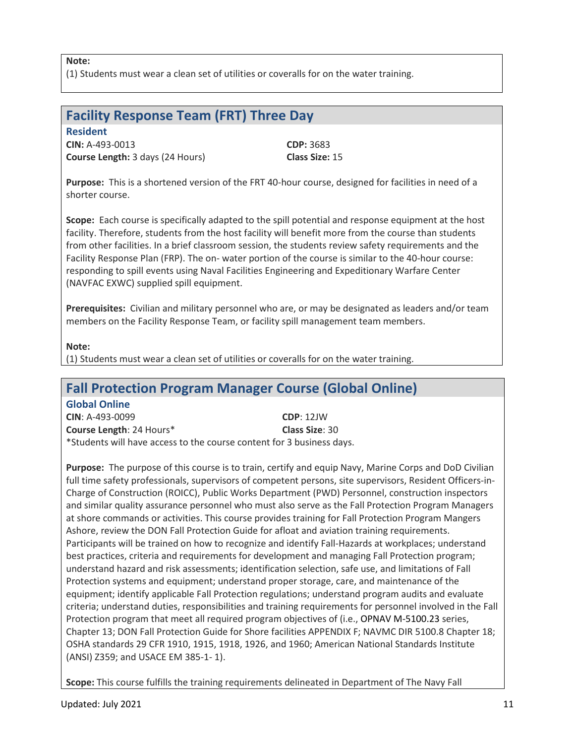**Note:** 

(1) Students must wear a clean set of utilities or coveralls for on the water training.

#### **Facility Response Team (FRT) Three Day**

**Resident CIN:** A-493-0013 **CDP:** 3683 **Course Length:** 3 days (24 Hours) **Class Size:** 15

**Purpose:** This is a shortened version of the FRT 40-hour course, designed for facilities in need of a shorter course.

**Scope:** Each course is specifically adapted to the spill potential and response equipment at the host facility. Therefore, students from the host facility will benefit more from the course than students from other facilities. In a brief classroom session, the students review safety requirements and the Facility Response Plan (FRP). The on- water portion of the course is similar to the 40-hour course: responding to spill events using Naval Facilities Engineering and Expeditionary Warfare Center (NAVFAC EXWC) supplied spill equipment.

**Prerequisites:** Civilian and military personnel who are, or may be designated as leaders and/or team members on the Facility Response Team, or facility spill management team members.

**Note:** 

(1) Students must wear a clean set of utilities or coveralls for on the water training.

#### **Fall Protection Program Manager Course (Global Online)**

**Global Online CIN**: A-493-0099 **CDP**: 12JW **Course Length**: 24 Hours\* **Class Size**: 30 \*Students will have access to the course content for 3 business days.

**Purpose:** The purpose of this course is to train, certify and equip Navy, Marine Corps and DoD Civilian full time safety professionals, supervisors of competent persons, site supervisors, Resident Officers-in-Charge of Construction (ROICC), Public Works Department (PWD) Personnel, construction inspectors and similar quality assurance personnel who must also serve as the Fall Protection Program Managers at shore commands or activities. This course provides training for Fall Protection Program Mangers Ashore, review the DON Fall Protection Guide for afloat and aviation training requirements. Participants will be trained on how to recognize and identify Fall-Hazards at workplaces; understand best practices, criteria and requirements for development and managing Fall Protection program; understand hazard and risk assessments; identification selection, safe use, and limitations of Fall Protection systems and equipment; understand proper storage, care, and maintenance of the equipment; identify applicable Fall Protection regulations; understand program audits and evaluate criteria; understand duties, responsibilities and training requirements for personnel involved in the Fall Protection program that meet all required program objectives of (i.e., OPNAV M-5100.23 series, Chapter 13; DON Fall Protection Guide for Shore facilities APPENDIX F; NAVMC DIR 5100.8 Chapter 18; OSHA standards 29 CFR 1910, 1915, 1918, 1926, and 1960; American National Standards Institute (ANSI) Z359; and USACE EM 385-1- 1).

**Scope:** This course fulfills the training requirements delineated in Department of The Navy Fall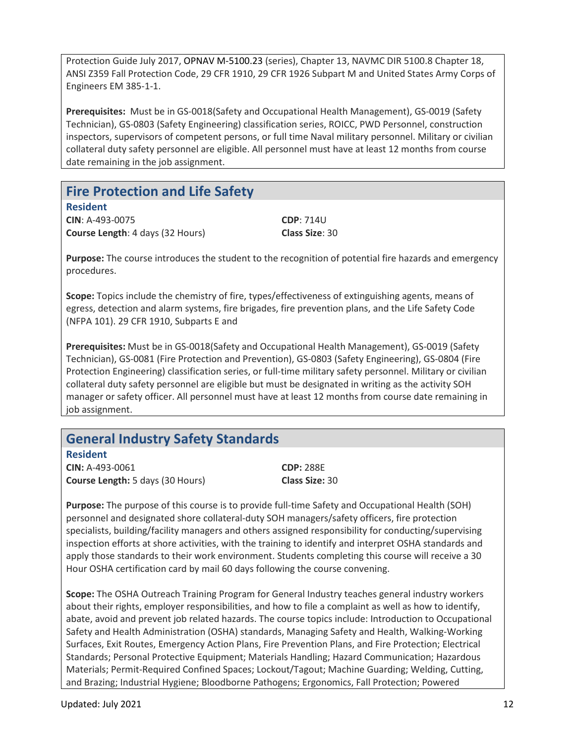Protection Guide July 2017, OPNAV M-5100.23 (series), Chapter 13, NAVMC DIR 5100.8 Chapter 18, ANSI Z359 Fall Protection Code, 29 CFR 1910, 29 CFR 1926 Subpart M and United States Army Corps of Engineers EM 385-1-1.

**Prerequisites:** Must be in GS-0018(Safety and Occupational Health Management), GS-0019 (Safety Technician), GS-0803 (Safety Engineering) classification series, ROICC, PWD Personnel, construction inspectors, supervisors of competent persons, or full time Naval military personnel. Military or civilian collateral duty safety personnel are eligible. All personnel must have at least 12 months from course date remaining in the job assignment.

#### **Fire Protection and Life Safety**

**Resident**

**CIN**: A-493-0075 **CDP**: 714U **Course Length**: 4 days (32 Hours) **Class Size**: 30

**Purpose:** The course introduces the student to the recognition of potential fire hazards and emergency procedures.

**Scope:** Topics include the chemistry of fire, types/effectiveness of extinguishing agents, means of egress, detection and alarm systems, fire brigades, fire prevention plans, and the Life Safety Code (NFPA 101). 29 CFR 1910, Subparts E and

**Prerequisites:** Must be in GS-0018(Safety and Occupational Health Management), GS-0019 (Safety Technician), GS-0081 (Fire Protection and Prevention), GS-0803 (Safety Engineering), GS-0804 (Fire Protection Engineering) classification series, or full-time military safety personnel. Military or civilian collateral duty safety personnel are eligible but must be designated in writing as the activity SOH manager or safety officer. All personnel must have at least 12 months from course date remaining in job assignment.

#### **General Industry Safety Standards**

**Resident**

**CIN:** A-493-0061 **CDP:** 288E **Course Length:** 5 days (30 Hours) **Class Size:** 30

**Purpose:** The purpose of this course is to provide full-time Safety and Occupational Health (SOH) personnel and designated shore collateral-duty SOH managers/safety officers, fire protection specialists, building/facility managers and others assigned responsibility for conducting/supervising inspection efforts at shore activities, with the training to identify and interpret OSHA standards and apply those standards to their work environment. Students completing this course will receive a 30 Hour OSHA certification card by mail 60 days following the course convening.

**Scope:** The OSHA Outreach Training Program for General Industry teaches general industry workers about their rights, employer responsibilities, and how to file a complaint as well as how to identify, abate, avoid and prevent job related hazards. The course topics include: Introduction to Occupational Safety and Health Administration (OSHA) standards, Managing Safety and Health, Walking-Working Surfaces, Exit Routes, Emergency Action Plans, Fire Prevention Plans, and Fire Protection; Electrical Standards; Personal Protective Equipment; Materials Handling; Hazard Communication; Hazardous Materials; Permit-Required Confined Spaces; Lockout/Tagout; Machine Guarding; Welding, Cutting, and Brazing; Industrial Hygiene; Bloodborne Pathogens; Ergonomics, Fall Protection; Powered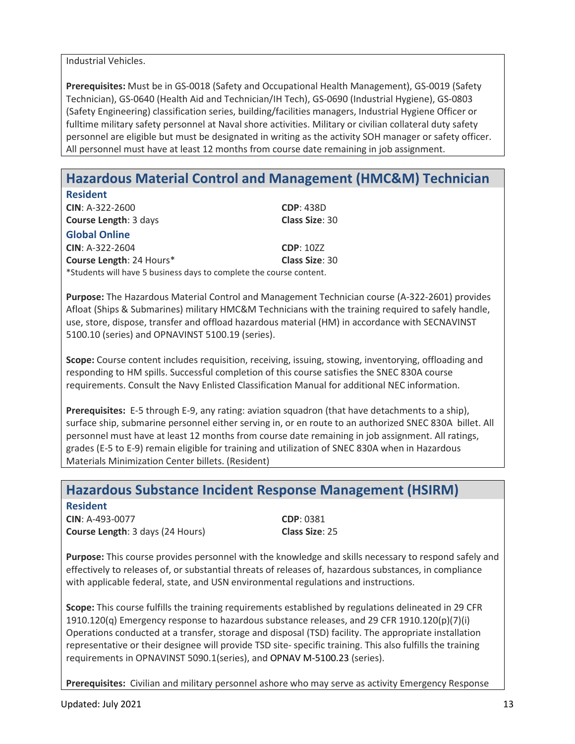Industrial Vehicles.

**Prerequisites:** Must be in GS-0018 (Safety and Occupational Health Management), GS-0019 (Safety Technician), GS-0640 (Health Aid and Technician/IH Tech), GS-0690 (Industrial Hygiene), GS-0803 (Safety Engineering) classification series, building/facilities managers, Industrial Hygiene Officer or fulltime military safety personnel at Naval shore activities. Military or civilian collateral duty safety personnel are eligible but must be designated in writing as the activity SOH manager or safety officer. All personnel must have at least 12 months from course date remaining in job assignment.

# **Hazardous Material Control and Management (HMC&M) Technician**

| <b>Resident</b>                                                     |                       |
|---------------------------------------------------------------------|-----------------------|
| $CIN: A-322-2600$                                                   | <b>CDP: 438D</b>      |
| <b>Course Length: 3 days</b>                                        | <b>Class Size: 30</b> |
| <b>Global Online</b>                                                |                       |
| $CIN: A-322-2604$                                                   | <b>CDP: 10ZZ</b>      |
| <b>Course Length: 24 Hours*</b>                                     | <b>Class Size: 30</b> |
| *Students will have 5 business days to complete the course content. |                       |

**Purpose:** The Hazardous Material Control and Management Technician course (A-322-2601) provides Afloat (Ships & Submarines) military HMC&M Technicians with the training required to safely handle, use, store, dispose, transfer and offload hazardous material (HM) in accordance with SECNAVINST 5100.10 (series) and OPNAVINST 5100.19 (series).

**Scope:** Course content includes requisition, receiving, issuing, stowing, inventorying, offloading and responding to HM spills. Successful completion of this course satisfies the SNEC 830A course requirements. Consult the Navy Enlisted Classification Manual for additional NEC information.

**Prerequisites:** E-5 through E-9, any rating: aviation squadron (that have detachments to a ship), surface ship, submarine personnel either serving in, or en route to an authorized SNEC 830A billet. All personnel must have at least 12 months from course date remaining in job assignment. All ratings, grades (E-5 to E-9) remain eligible for training and utilization of SNEC 830A when in Hazardous Materials Minimization Center billets. (Resident)

#### **Hazardous Substance Incident Response Management (HSIRM)**

**Resident CIN**: A-493-0077 **CDP**: 0381 **Course Length**: 3 days (24 Hours) **Class Size**: 25

**Purpose:** This course provides personnel with the knowledge and skills necessary to respond safely and effectively to releases of, or substantial threats of releases of, hazardous substances, in compliance with applicable federal, state, and USN environmental regulations and instructions.

**Scope:** This course fulfills the training requirements established by regulations delineated in 29 CFR 1910.120(q) Emergency response to hazardous substance releases, and 29 CFR 1910.120(p)(7)(i) Operations conducted at a transfer, storage and disposal (TSD) facility. The appropriate installation representative or their designee will provide TSD site- specific training. This also fulfills the training requirements in OPNAVINST 5090.1(series), and OPNAV M-5100.23 (series).

**Prerequisites:** Civilian and military personnel ashore who may serve as activity Emergency Response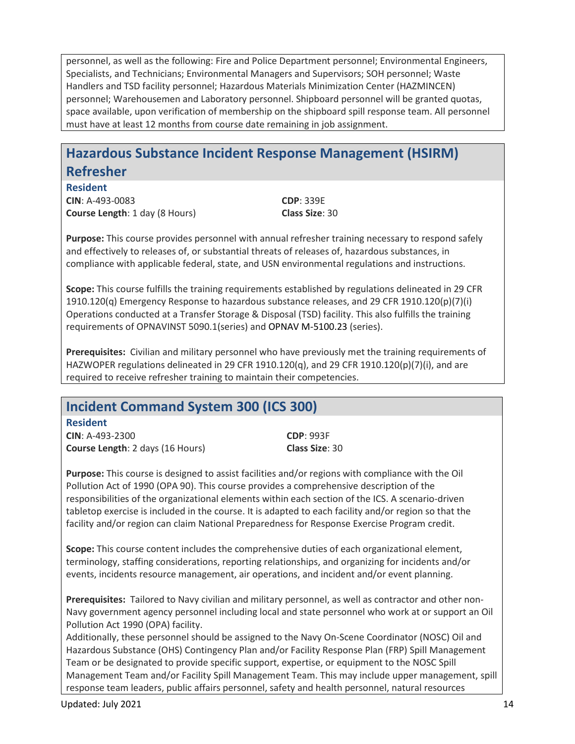personnel, as well as the following: Fire and Police Department personnel; Environmental Engineers, Specialists, and Technicians; Environmental Managers and Supervisors; SOH personnel; Waste Handlers and TSD facility personnel; Hazardous Materials Minimization Center (HAZMINCEN) personnel; Warehousemen and Laboratory personnel. Shipboard personnel will be granted quotas, space available, upon verification of membership on the shipboard spill response team. All personnel must have at least 12 months from course date remaining in job assignment.

# **Hazardous Substance Incident Response Management (HSIRM) Refresher**

**Resident CIN**: A-493-0083 **CDP**: 339E

**Course Length**: 1 day (8 Hours) **Class Size**: 30

**Purpose:** This course provides personnel with annual refresher training necessary to respond safely and effectively to releases of, or substantial threats of releases of, hazardous substances, in compliance with applicable federal, state, and USN environmental regulations and instructions.

**Scope:** This course fulfills the training requirements established by regulations delineated in 29 CFR 1910.120(q) Emergency Response to hazardous substance releases, and 29 CFR 1910.120(p)(7)(i) Operations conducted at a Transfer Storage & Disposal (TSD) facility. This also fulfills the training requirements of OPNAVINST 5090.1(series) and OPNAV M-5100.23 (series).

**Prerequisites:** Civilian and military personnel who have previously met the training requirements of HAZWOPER regulations delineated in 29 CFR 1910.120(q), and 29 CFR 1910.120(p)(7)(i), and are required to receive refresher training to maintain their competencies.

# **Incident Command System 300 (ICS 300)**

**Resident CIN**: A-493-2300 **CDP**: 993F **Course Length**: 2 days (16 Hours) **Class Size**: 30

**Purpose:** This course is designed to assist facilities and/or regions with compliance with the Oil Pollution Act of 1990 (OPA 90). This course provides a comprehensive description of the responsibilities of the organizational elements within each section of the ICS. A scenario-driven tabletop exercise is included in the course. It is adapted to each facility and/or region so that the facility and/or region can claim National Preparedness for Response Exercise Program credit.

**Scope:** This course content includes the comprehensive duties of each organizational element, terminology, staffing considerations, reporting relationships, and organizing for incidents and/or events, incidents resource management, air operations, and incident and/or event planning.

**Prerequisites:** Tailored to Navy civilian and military personnel, as well as contractor and other non-Navy government agency personnel including local and state personnel who work at or support an Oil Pollution Act 1990 (OPA) facility.

Additionally, these personnel should be assigned to the Navy On-Scene Coordinator (NOSC) Oil and Hazardous Substance (OHS) Contingency Plan and/or Facility Response Plan (FRP) Spill Management Team or be designated to provide specific support, expertise, or equipment to the NOSC Spill Management Team and/or Facility Spill Management Team. This may include upper management, spill response team leaders, public affairs personnel, safety and health personnel, natural resources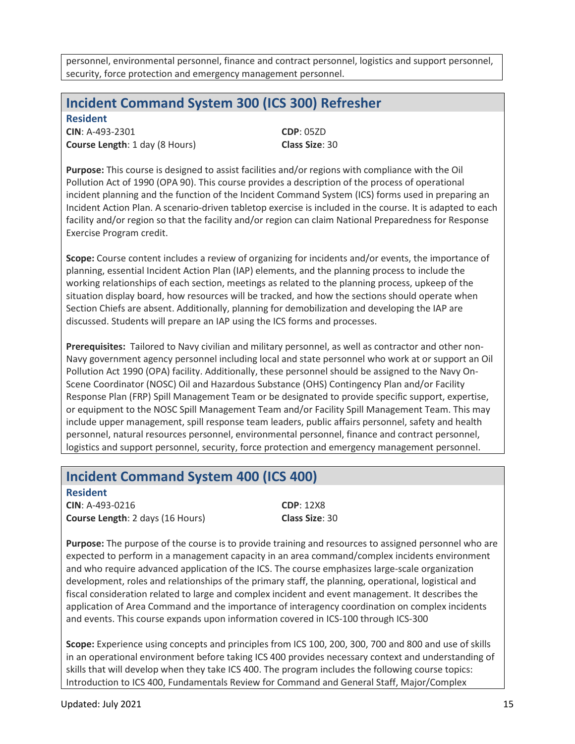personnel, environmental personnel, finance and contract personnel, logistics and support personnel, security, force protection and emergency management personnel.

#### **Incident Command System 300 (ICS 300) Refresher**

**Resident CIN**: A-493-2301 **CDP**: 05ZD **Course Length**: 1 day (8 Hours) **Class Size**: 30

**Purpose:** This course is designed to assist facilities and/or regions with compliance with the Oil Pollution Act of 1990 (OPA 90). This course provides a description of the process of operational incident planning and the function of the Incident Command System (ICS) forms used in preparing an Incident Action Plan. A scenario-driven tabletop exercise is included in the course. It is adapted to each facility and/or region so that the facility and/or region can claim National Preparedness for Response Exercise Program credit.

**Scope:** Course content includes a review of organizing for incidents and/or events, the importance of planning, essential Incident Action Plan (IAP) elements, and the planning process to include the working relationships of each section, meetings as related to the planning process, upkeep of the situation display board, how resources will be tracked, and how the sections should operate when Section Chiefs are absent. Additionally, planning for demobilization and developing the IAP are discussed. Students will prepare an IAP using the ICS forms and processes.

**Prerequisites:** Tailored to Navy civilian and military personnel, as well as contractor and other non-Navy government agency personnel including local and state personnel who work at or support an Oil Pollution Act 1990 (OPA) facility. Additionally, these personnel should be assigned to the Navy On-Scene Coordinator (NOSC) Oil and Hazardous Substance (OHS) Contingency Plan and/or Facility Response Plan (FRP) Spill Management Team or be designated to provide specific support, expertise, or equipment to the NOSC Spill Management Team and/or Facility Spill Management Team. This may include upper management, spill response team leaders, public affairs personnel, safety and health personnel, natural resources personnel, environmental personnel, finance and contract personnel, logistics and support personnel, security, force protection and emergency management personnel.

# **Incident Command System 400 (ICS 400)**

**Resident CIN**: A-493-0216 **CDP**: 12X8 **Course Length**: 2 days (16 Hours) **Class Size**: 30

**Purpose:** The purpose of the course is to provide training and resources to assigned personnel who are expected to perform in a management capacity in an area command/complex incidents environment and who require advanced application of the ICS. The course emphasizes large-scale organization development, roles and relationships of the primary staff, the planning, operational, logistical and fiscal consideration related to large and complex incident and event management. It describes the application of Area Command and the importance of interagency coordination on complex incidents and events. This course expands upon information covered in ICS-100 through ICS-300

**Scope:** Experience using concepts and principles from ICS 100, 200, 300, 700 and 800 and use of skills in an operational environment before taking ICS 400 provides necessary context and understanding of skills that will develop when they take ICS 400. The program includes the following course topics: Introduction to ICS 400, Fundamentals Review for Command and General Staff, Major/Complex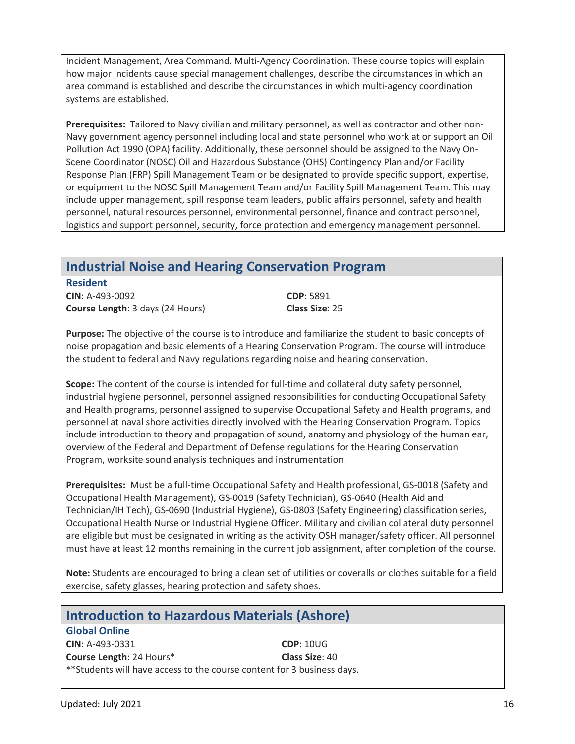Incident Management, Area Command, Multi-Agency Coordination. These course topics will explain how major incidents cause special management challenges, describe the circumstances in which an area command is established and describe the circumstances in which multi-agency coordination systems are established.

**Prerequisites:** Tailored to Navy civilian and military personnel, as well as contractor and other non-Navy government agency personnel including local and state personnel who work at or support an Oil Pollution Act 1990 (OPA) facility. Additionally, these personnel should be assigned to the Navy On-Scene Coordinator (NOSC) Oil and Hazardous Substance (OHS) Contingency Plan and/or Facility Response Plan (FRP) Spill Management Team or be designated to provide specific support, expertise, or equipment to the NOSC Spill Management Team and/or Facility Spill Management Team. This may include upper management, spill response team leaders, public affairs personnel, safety and health personnel, natural resources personnel, environmental personnel, finance and contract personnel, logistics and support personnel, security, force protection and emergency management personnel.

# **Industrial Noise and Hearing Conservation Program**

**Resident CIN**: A-493-0092 **CDP**: 5891 **Course Length**: 3 days (24 Hours) **Class Size**: 25

**Purpose:** The objective of the course is to introduce and familiarize the student to basic concepts of noise propagation and basic elements of a Hearing Conservation Program. The course will introduce the student to federal and Navy regulations regarding noise and hearing conservation.

**Scope:** The content of the course is intended for full-time and collateral duty safety personnel, industrial hygiene personnel, personnel assigned responsibilities for conducting Occupational Safety and Health programs, personnel assigned to supervise Occupational Safety and Health programs, and personnel at naval shore activities directly involved with the Hearing Conservation Program. Topics include introduction to theory and propagation of sound, anatomy and physiology of the human ear, overview of the Federal and Department of Defense regulations for the Hearing Conservation Program, worksite sound analysis techniques and instrumentation.

**Prerequisites:** Must be a full-time Occupational Safety and Health professional, GS-0018 (Safety and Occupational Health Management), GS-0019 (Safety Technician), GS-0640 (Health Aid and Technician/IH Tech), GS-0690 (Industrial Hygiene), GS-0803 (Safety Engineering) classification series, Occupational Health Nurse or Industrial Hygiene Officer. Military and civilian collateral duty personnel are eligible but must be designated in writing as the activity OSH manager/safety officer. All personnel must have at least 12 months remaining in the current job assignment, after completion of the course.

**Note:** Students are encouraged to bring a clean set of utilities or coveralls or clothes suitable for a field exercise, safety glasses, hearing protection and safety shoes.

| <b>Introduction to Hazardous Materials (Ashore)</b>                     |                  |  |
|-------------------------------------------------------------------------|------------------|--|
| <b>Global Online</b>                                                    |                  |  |
| CIN: A-493-0331                                                         | <b>CDP: 10UG</b> |  |
| Course Length: 24 Hours*                                                | Class Size: 40   |  |
| ** Students will have access to the course content for 3 business days. |                  |  |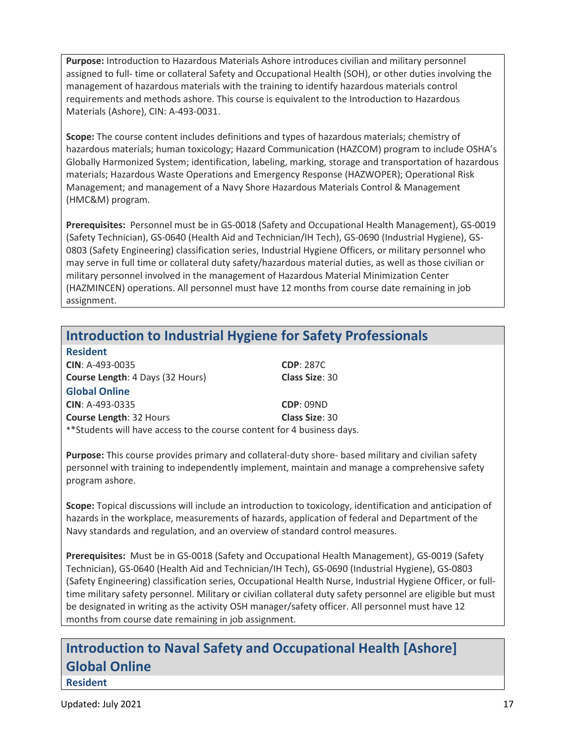**Purpose:** Introduction to Hazardous Materials Ashore introduces civilian and military personnel assigned to full- time or collateral Safety and Occupational Health (SOH), or other duties involving the management of hazardous materials with the training to identify hazardous materials control requirements and methods ashore. This course is equivalent to the Introduction to Hazardous Materials (Ashore), CIN: A-493-0031.

**Scope:** The course content includes definitions and types of hazardous materials; chemistry of hazardous materials; human toxicology; Hazard Communication (HAZCOM) program to include OSHA's Globally Harmonized System; identification, labeling, marking, storage and transportation of hazardous materials; Hazardous Waste Operations and Emergency Response (HAZWOPER); Operational Risk Management; and management of a Navy Shore Hazardous Materials Control & Management (HMC&M) program.

**Prerequisites:** Personnel must be in GS-0018 (Safety and Occupational Health Management), GS-0019 (Safety Technician), GS-0640 (Health Aid and Technician/IH Tech), GS-0690 (Industrial Hygiene), GS-0803 (Safety Engineering) classification series, Industrial Hygiene Officers, or military personnel who may serve in full time or collateral duty safety/hazardous material duties, as well as those civilian or military personnel involved in the management of Hazardous Material Minimization Center (HAZMINCEN) operations. All personnel must have 12 months from course date remaining in job assignment.

#### **Introduction to Industrial Hygiene for Safety Professionals**

| <b>Resident</b>                                                         |                       |
|-------------------------------------------------------------------------|-----------------------|
| CIN: A-493-0035                                                         | <b>CDP: 287C</b>      |
| <b>Course Length: 4 Days (32 Hours)</b>                                 | <b>Class Size: 30</b> |
| <b>Global Online</b>                                                    |                       |
| CIN: A-493-0335                                                         | <b>CDP: 09ND</b>      |
| <b>Course Length: 32 Hours</b>                                          | Class Size: 30        |
| ** Students will have access to the course content for 4 business days. |                       |

**Purpose:** This course provides primary and collateral-duty shore- based military and civilian safety personnel with training to independently implement, maintain and manage a comprehensive safety program ashore.

**Scope:** Topical discussions will include an introduction to toxicology, identification and anticipation of hazards in the workplace, measurements of hazards, application of federal and Department of the Navy standards and regulation, and an overview of standard control measures.

**Prerequisites:** Must be in GS-0018 (Safety and Occupational Health Management), GS-0019 (Safety Technician), GS-0640 (Health Aid and Technician/IH Tech), GS-0690 (Industrial Hygiene), GS-0803 (Safety Engineering) classification series, Occupational Health Nurse, Industrial Hygiene Officer, or fulltime military safety personnel. Military or civilian collateral duty safety personnel are eligible but must be designated in writing as the activity OSH manager/safety officer. All personnel must have 12 months from course date remaining in job assignment.

# **Introduction to Naval Safety and Occupational Health [Ashore] Global Online**

**Resident**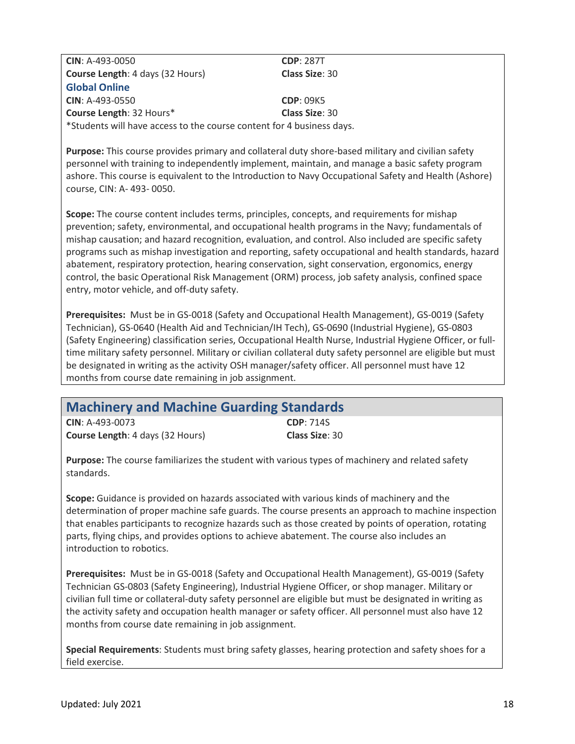**CIN**: A-493-0050 **CDP**: 287T **Course Length**: 4 days (32 Hours) **Class Size**: 30 **Global Online CIN**: A-493-0550 **CDP**: 09K5 **Course Length**: 32 Hours\* **Class Size**: 30 \*Students will have access to the course content for 4 business days.

**Purpose:** This course provides primary and collateral duty shore-based military and civilian safety personnel with training to independently implement, maintain, and manage a basic safety program ashore. This course is equivalent to the Introduction to Navy Occupational Safety and Health (Ashore) course, CIN: A- 493- 0050.

**Scope:** The course content includes terms, principles, concepts, and requirements for mishap prevention; safety, environmental, and occupational health programs in the Navy; fundamentals of mishap causation; and hazard recognition, evaluation, and control. Also included are specific safety programs such as mishap investigation and reporting, safety occupational and health standards, hazard abatement, respiratory protection, hearing conservation, sight conservation, ergonomics, energy control, the basic Operational Risk Management (ORM) process, job safety analysis, confined space entry, motor vehicle, and off-duty safety.

**Prerequisites:** Must be in GS-0018 (Safety and Occupational Health Management), GS-0019 (Safety Technician), GS-0640 (Health Aid and Technician/IH Tech), GS-0690 (Industrial Hygiene), GS-0803 (Safety Engineering) classification series, Occupational Health Nurse, Industrial Hygiene Officer, or fulltime military safety personnel. Military or civilian collateral duty safety personnel are eligible but must be designated in writing as the activity OSH manager/safety officer. All personnel must have 12 months from course date remaining in job assignment.

| <b>Machinery and Machine Guarding Standards</b> |                  |  |
|-------------------------------------------------|------------------|--|
| $CIN: A-493-0073$                               | <b>CDP: 714S</b> |  |
| <b>Course Length: 4 days (32 Hours)</b>         | Class Size: 30   |  |

**Purpose:** The course familiarizes the student with various types of machinery and related safety standards.

**Scope:** Guidance is provided on hazards associated with various kinds of machinery and the determination of proper machine safe guards. The course presents an approach to machine inspection that enables participants to recognize hazards such as those created by points of operation, rotating parts, flying chips, and provides options to achieve abatement. The course also includes an introduction to robotics.

**Prerequisites:** Must be in GS-0018 (Safety and Occupational Health Management), GS-0019 (Safety Technician GS-0803 (Safety Engineering), Industrial Hygiene Officer, or shop manager. Military or civilian full time or collateral-duty safety personnel are eligible but must be designated in writing as the activity safety and occupation health manager or safety officer. All personnel must also have 12 months from course date remaining in job assignment.

**Special Requirements**: Students must bring safety glasses, hearing protection and safety shoes for a field exercise.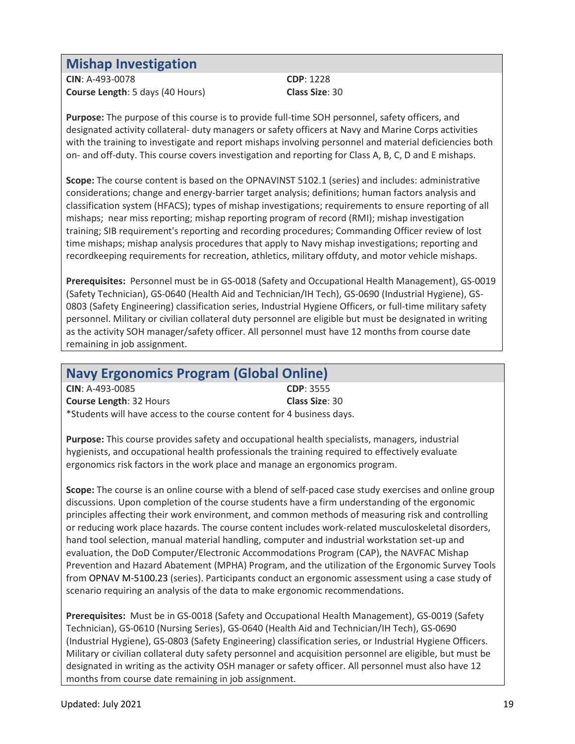#### **Mishap Investigation**

**CIN**: A-493-0078 **CDP**: 1228 **Course Length**: 5 days (40 Hours) **Class Size**: 30

**Purpose:** The purpose of this course is to provide full-time SOH personnel, safety officers, and designated activity collateral- duty managers or safety officers at Navy and Marine Corps activities with the training to investigate and report mishaps involving personnel and material deficiencies both on- and off-duty. This course covers investigation and reporting for Class A, B, C, D and E mishaps.

**Scope:** The course content is based on the OPNAVINST 5102.1 (series) and includes: administrative considerations; change and energy-barrier target analysis; definitions; human factors analysis and classification system (HFACS); types of mishap investigations; requirements to ensure reporting of all mishaps; near miss reporting; mishap reporting program of record (RMI); mishap investigation training; SIB requirement's reporting and recording procedures; Commanding Officer review of lost time mishaps; mishap analysis procedures that apply to Navy mishap investigations; reporting and recordkeeping requirements for recreation, athletics, military offduty, and motor vehicle mishaps.

**Prerequisites:** Personnel must be in GS-0018 (Safety and Occupational Health Management), GS-0019 (Safety Technician), GS-0640 (Health Aid and Technician/IH Tech), GS-0690 (Industrial Hygiene), GS-0803 (Safety Engineering) classification series, Industrial Hygiene Officers, or full-time military safety personnel. Military or civilian collateral duty personnel are eligible but must be designated in writing as the activity SOH manager/safety officer. All personnel must have 12 months from course date remaining in job assignment.

#### **Navy Ergonomics Program (Global Online)**

| $CIN: A-493-0085$                                                     | <b>CDP: 3555</b> |
|-----------------------------------------------------------------------|------------------|
| <b>Course Length: 32 Hours</b>                                        | Class Size: 30   |
| *Students will have access to the course content for 4 business days. |                  |

**Purpose:** This course provides safety and occupational health specialists, managers, industrial hygienists, and occupational health professionals the training required to effectively evaluate ergonomics risk factors in the work place and manage an ergonomics program.

**Scope:** The course is an online course with a blend of self-paced case study exercises and online group discussions. Upon completion of the course students have a firm understanding of the ergonomic principles affecting their work environment, and common methods of measuring risk and controlling or reducing work place hazards. The course content includes work-related musculoskeletal disorders, hand tool selection, manual material handling, computer and industrial workstation set-up and evaluation, the DoD Computer/Electronic Accommodations Program (CAP), the NAVFAC Mishap Prevention and Hazard Abatement (MPHA) Program, and the utilization of the Ergonomic Survey Tools from OPNAV M-5100.23 (series). Participants conduct an ergonomic assessment using a case study of scenario requiring an analysis of the data to make ergonomic recommendations.

**Prerequisites:** Must be in GS-0018 (Safety and Occupational Health Management), GS-0019 (Safety Technician), GS-0610 (Nursing Series), GS-0640 (Health Aid and Technician/IH Tech), GS-0690 (Industrial Hygiene), GS-0803 (Safety Engineering) classification series, or Industrial Hygiene Officers. Military or civilian collateral duty safety personnel and acquisition personnel are eligible, but must be designated in writing as the activity OSH manager or safety officer. All personnel must also have 12 months from course date remaining in job assignment.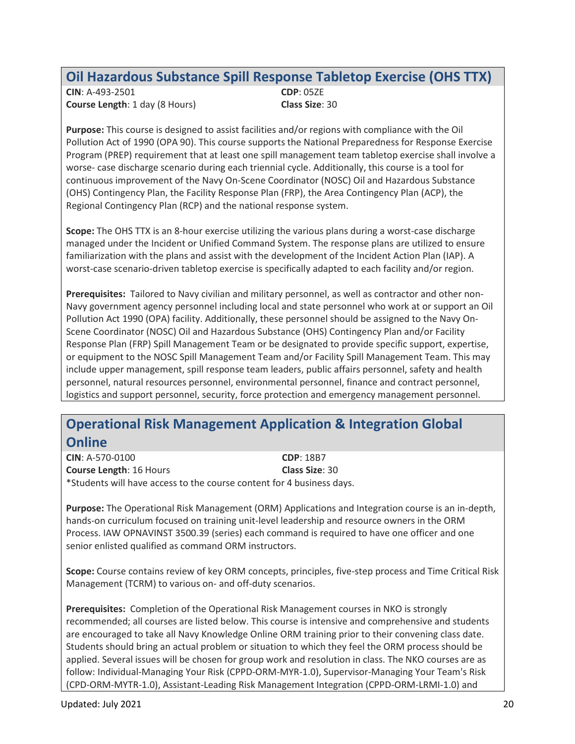#### **Oil Hazardous Substance Spill Response Tabletop Exercise (OHS TTX)**

**CIN**: A-493-2501 **CDP**: 05ZE **Course Length**: 1 day (8 Hours) **Class Size**: 30

**Purpose:** This course is designed to assist facilities and/or regions with compliance with the Oil Pollution Act of 1990 (OPA 90). This course supports the National Preparedness for Response Exercise Program (PREP) requirement that at least one spill management team tabletop exercise shall involve a worse- case discharge scenario during each triennial cycle. Additionally, this course is a tool for continuous improvement of the Navy On-Scene Coordinator (NOSC) Oil and Hazardous Substance (OHS) Contingency Plan, the Facility Response Plan (FRP), the Area Contingency Plan (ACP), the Regional Contingency Plan (RCP) and the national response system.

**Scope:** The OHS TTX is an 8-hour exercise utilizing the various plans during a worst-case discharge managed under the Incident or Unified Command System. The response plans are utilized to ensure familiarization with the plans and assist with the development of the Incident Action Plan (IAP). A worst-case scenario-driven tabletop exercise is specifically adapted to each facility and/or region.

**Prerequisites:** Tailored to Navy civilian and military personnel, as well as contractor and other non-Navy government agency personnel including local and state personnel who work at or support an Oil Pollution Act 1990 (OPA) facility. Additionally, these personnel should be assigned to the Navy On-Scene Coordinator (NOSC) Oil and Hazardous Substance (OHS) Contingency Plan and/or Facility Response Plan (FRP) Spill Management Team or be designated to provide specific support, expertise, or equipment to the NOSC Spill Management Team and/or Facility Spill Management Team. This may include upper management, spill response team leaders, public affairs personnel, safety and health personnel, natural resources personnel, environmental personnel, finance and contract personnel, logistics and support personnel, security, force protection and emergency management personnel.

#### **Operational Risk Management Application & Integration Global Online**

**CIN**: A-570-0100 **CDP**: 18B7 **Course Length**: 16 Hours **Class Size**: 30 \*Students will have access to the course content for 4 business days.

**Purpose:** The Operational Risk Management (ORM) Applications and Integration course is an in-depth, hands-on curriculum focused on training unit-level leadership and resource owners in the ORM Process. IAW OPNAVINST 3500.39 (series) each command is required to have one officer and one senior enlisted qualified as command ORM instructors.

**Scope:** Course contains review of key ORM concepts, principles, five-step process and Time Critical Risk Management (TCRM) to various on- and off-duty scenarios.

**Prerequisites:** Completion of the Operational Risk Management courses in NKO is strongly recommended; all courses are listed below. This course is intensive and comprehensive and students are encouraged to take all Navy Knowledge Online ORM training prior to their convening class date. Students should bring an actual problem or situation to which they feel the ORM process should be applied. Several issues will be chosen for group work and resolution in class. The NKO courses are as follow: Individual-Managing Your Risk (CPPD-ORM-MYR-1.0), Supervisor-Managing Your Team's Risk (CPD-ORM-MYTR-1.0), Assistant-Leading Risk Management Integration (CPPD-ORM-LRMI-1.0) and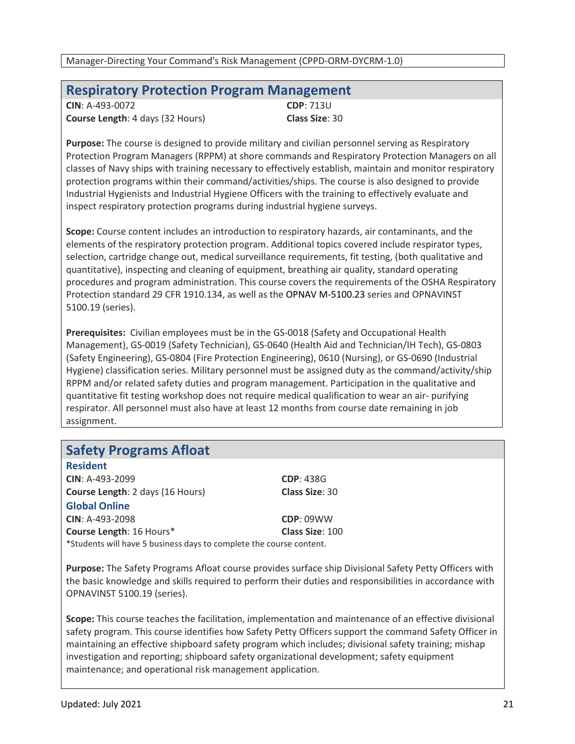#### **Respiratory Protection Program Management**

| $CIN: A-493-0072$                       | <b>CDP</b> : 713U     |
|-----------------------------------------|-----------------------|
| <b>Course Length: 4 days (32 Hours)</b> | <b>Class Size: 30</b> |

**Purpose:** The course is designed to provide military and civilian personnel serving as Respiratory Protection Program Managers (RPPM) at shore commands and Respiratory Protection Managers on all classes of Navy ships with training necessary to effectively establish, maintain and monitor respiratory protection programs within their command/activities/ships. The course is also designed to provide Industrial Hygienists and Industrial Hygiene Officers with the training to effectively evaluate and inspect respiratory protection programs during industrial hygiene surveys.

**Scope:** Course content includes an introduction to respiratory hazards, air contaminants, and the elements of the respiratory protection program. Additional topics covered include respirator types, selection, cartridge change out, medical surveillance requirements, fit testing, (both qualitative and quantitative), inspecting and cleaning of equipment, breathing air quality, standard operating procedures and program administration. This course covers the requirements of the OSHA Respiratory Protection standard 29 CFR 1910.134, as well as the OPNAV M-5100.23 series and OPNAVINST 5100.19 (series).

**Prerequisites:** Civilian employees must be in the GS-0018 (Safety and Occupational Health Management), GS-0019 (Safety Technician), GS-0640 (Health Aid and Technician/IH Tech), GS-0803 (Safety Engineering), GS-0804 (Fire Protection Engineering), 0610 (Nursing), or GS-0690 (Industrial Hygiene) classification series. Military personnel must be assigned duty as the command/activity/ship RPPM and/or related safety duties and program management. Participation in the qualitative and quantitative fit testing workshop does not require medical qualification to wear an air- purifying respirator. All personnel must also have at least 12 months from course date remaining in job assignment.

|  | <b>Safety Programs Afloat</b> |  |
|--|-------------------------------|--|
|--|-------------------------------|--|

**Resident CIN**: A-493-2099 **CDP**: 438G **Course Length**: 2 days (16 Hours) **Class Size**: 30

**Global Online CIN**: A-493-2098 **Course Length**: 16 Hours\* **CDP**: 09WW **Class Size**: 100 \*Students will have 5 business days to complete the course content.

**Purpose:** The Safety Programs Afloat course provides surface ship Divisional Safety Petty Officers with the basic knowledge and skills required to perform their duties and responsibilities in accordance with OPNAVINST 5100.19 (series).

**Scope:** This course teaches the facilitation, implementation and maintenance of an effective divisional safety program. This course identifies how Safety Petty Officers support the command Safety Officer in maintaining an effective shipboard safety program which includes; divisional safety training; mishap investigation and reporting; shipboard safety organizational development; safety equipment maintenance; and operational risk management application.